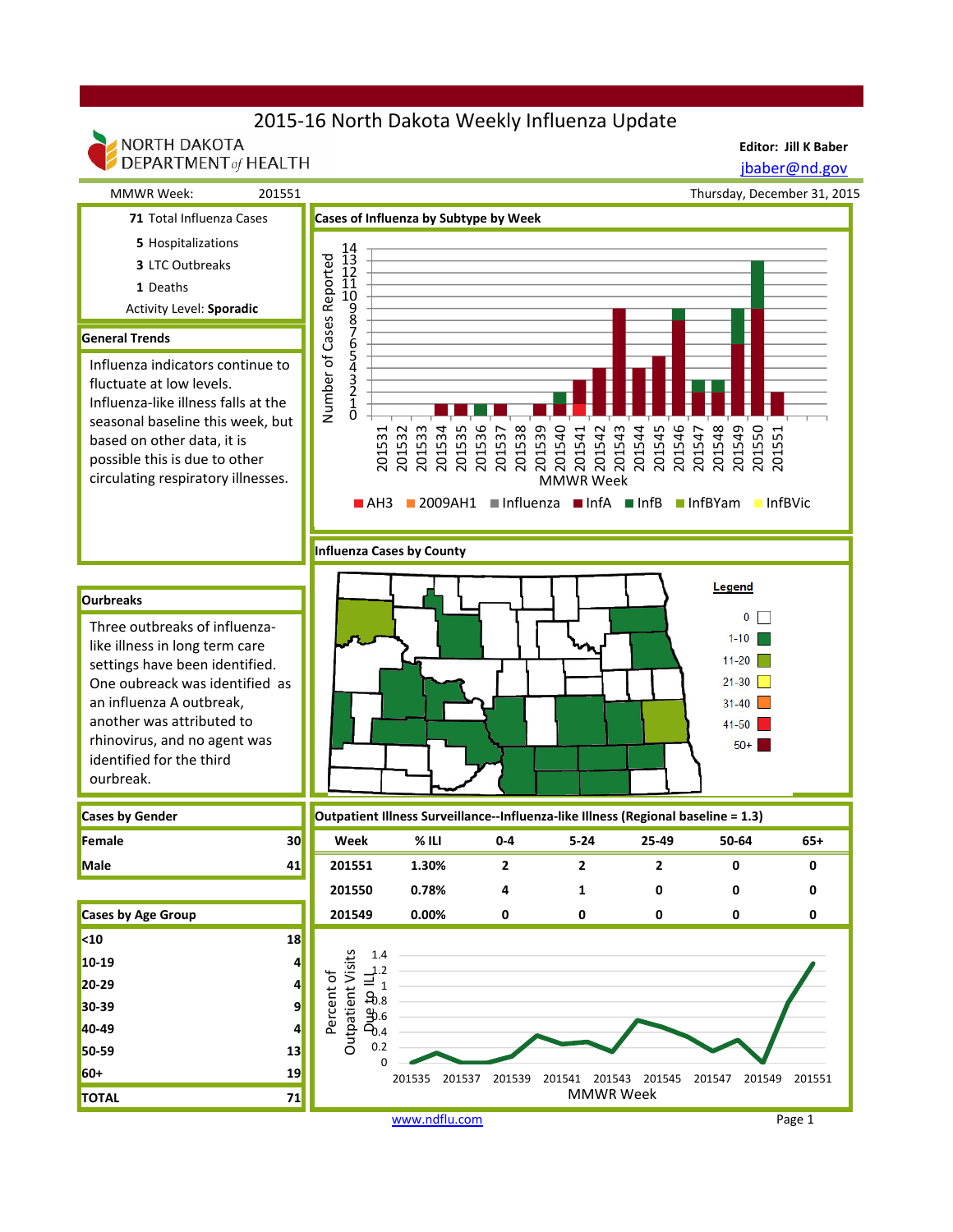## 2015-16 North Dakota Weekly Influenza Update